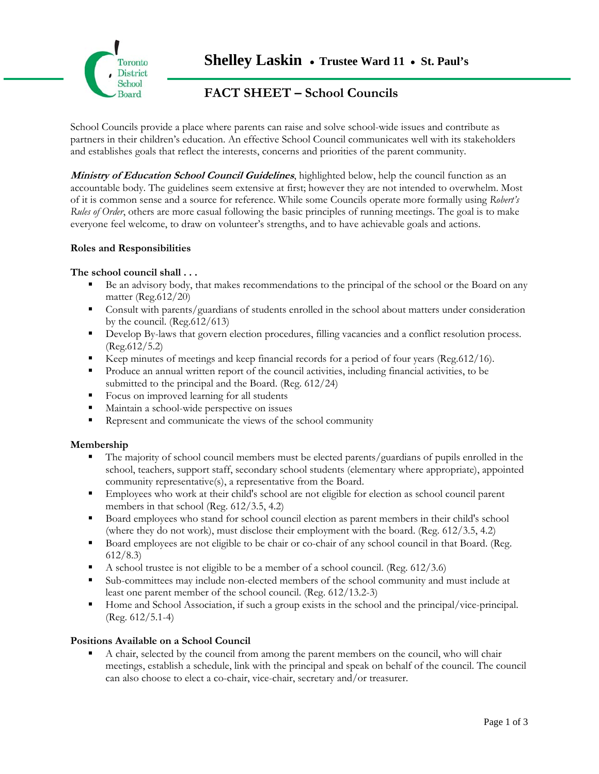

# **FACT SHEET – School Councils**

School Councils provide a place where parents can raise and solve school-wide issues and contribute as partners in their children's education. An effective School Council communicates well with its stakeholders and establishes goals that reflect the interests, concerns and priorities of the parent community.

**Ministry of Education School Council Guidelines**, highlighted below, help the council function as an accountable body. The guidelines seem extensive at first; however they are not intended to overwhelm. Most of it is common sense and a source for reference. While some Councils operate more formally using *Robert's Rules of Order*, others are more casual following the basic principles of running meetings. The goal is to make everyone feel welcome, to draw on volunteer's strengths, and to have achievable goals and actions.

### **Roles and Responsibilities**

### **The school council shall . . .**

- Be an advisory body, that makes recommendations to the principal of the school or the Board on any matter (Reg.612/20)
- **Consult with parents/guardians of students enrolled in the school about matters under consideration** by the council. (Reg.612/613)
- Develop By-laws that govern election procedures, filling vacancies and a conflict resolution process. (Reg.612/5.2)
- Exerped minutes of meetings and keep financial records for a period of four years (Reg.612/16).
- Produce an annual written report of the council activities, including financial activities, to be submitted to the principal and the Board. (Reg. 612/24)
- Focus on improved learning for all students
- Maintain a school-wide perspective on issues
- Represent and communicate the views of the school community

# **Membership**

- The majority of school council members must be elected parents/guardians of pupils enrolled in the school, teachers, support staff, secondary school students (elementary where appropriate), appointed community representative(s), a representative from the Board.
- **Employees who work at their child's school are not eligible for election as school council parent** members in that school (Reg. 612/3.5, 4.2)
- Board employees who stand for school council election as parent members in their child's school (where they do not work), must disclose their employment with the board. (Reg. 612/3.5, 4.2)
- Board employees are not eligible to be chair or co-chair of any school council in that Board. (Reg. 612/8.3)
- A school trustee is not eligible to be a member of a school council. (Reg.  $612/3.6$ )
- Sub-committees may include non-elected members of the school community and must include at least one parent member of the school council. (Reg. 612/13.2-3)
- Home and School Association, if such a group exists in the school and the principal/vice-principal. (Reg. 612/5.1-4)

#### **Positions Available on a School Council**

 A chair, selected by the council from among the parent members on the council, who will chair meetings, establish a schedule, link with the principal and speak on behalf of the council. The council can also choose to elect a co-chair, vice-chair, secretary and/or treasurer.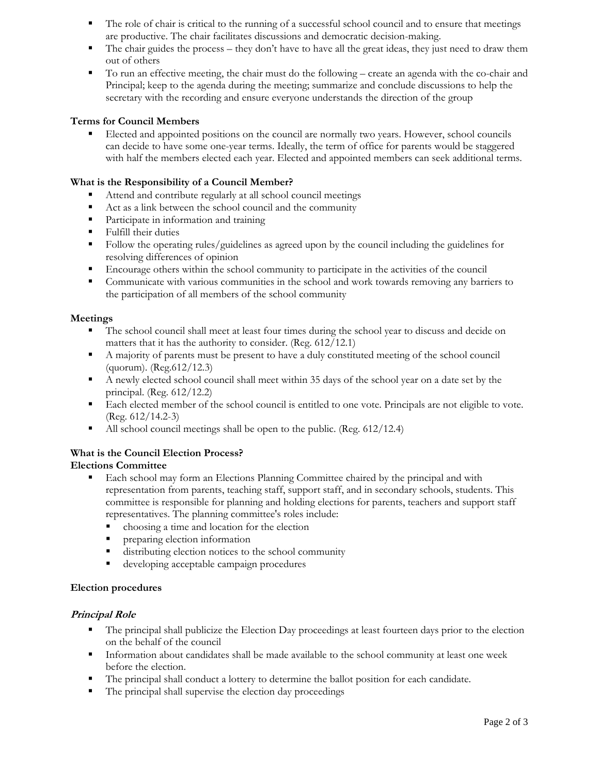- The role of chair is critical to the running of a successful school council and to ensure that meetings are productive. The chair facilitates discussions and democratic decision-making.
- The chair guides the process they don't have to have all the great ideas, they just need to draw them out of others
- To run an effective meeting, the chair must do the following create an agenda with the co-chair and Principal; keep to the agenda during the meeting; summarize and conclude discussions to help the secretary with the recording and ensure everyone understands the direction of the group

# **Terms for Council Members**

 Elected and appointed positions on the council are normally two years. However, school councils can decide to have some one-year terms. Ideally, the term of office for parents would be staggered with half the members elected each year. Elected and appointed members can seek additional terms.

# **What is the Responsibility of a Council Member?**

- Attend and contribute regularly at all school council meetings
- Act as a link between the school council and the community
- **Participate in information and training**
- **Fulfill their duties**
- Follow the operating rules/guidelines as agreed upon by the council including the guidelines for resolving differences of opinion
- Encourage others within the school community to participate in the activities of the council
- Communicate with various communities in the school and work towards removing any barriers to the participation of all members of the school community

### **Meetings**

- The school council shall meet at least four times during the school year to discuss and decide on matters that it has the authority to consider. (Reg. 612/12.1)
- A majority of parents must be present to have a duly constituted meeting of the school council (quorum). (Reg.612/12.3)
- A newly elected school council shall meet within 35 days of the school year on a date set by the principal. (Reg. 612/12.2)
- Each elected member of the school council is entitled to one vote. Principals are not eligible to vote. (Reg. 612/14.2-3)
- All school council meetings shall be open to the public. (Reg. 612/12.4)

# **What is the Council Election Process?**

# **Elections Committee**

- **Each school may form an Elections Planning Committee chaired by the principal and with** representation from parents, teaching staff, support staff, and in secondary schools, students. This committee is responsible for planning and holding elections for parents, teachers and support staff representatives. The planning committee's roles include:
	- choosing a time and location for the election
	- **Participaring election information**
	- distributing election notices to the school community
	- **developing acceptable campaign procedures**

# **Election procedures**

# **Principal Role**

- The principal shall publicize the Election Day proceedings at least fourteen days prior to the election on the behalf of the council
- **Information about candidates shall be made available to the school community at least one week** before the election.
- The principal shall conduct a lottery to determine the ballot position for each candidate.
- The principal shall supervise the election day proceedings